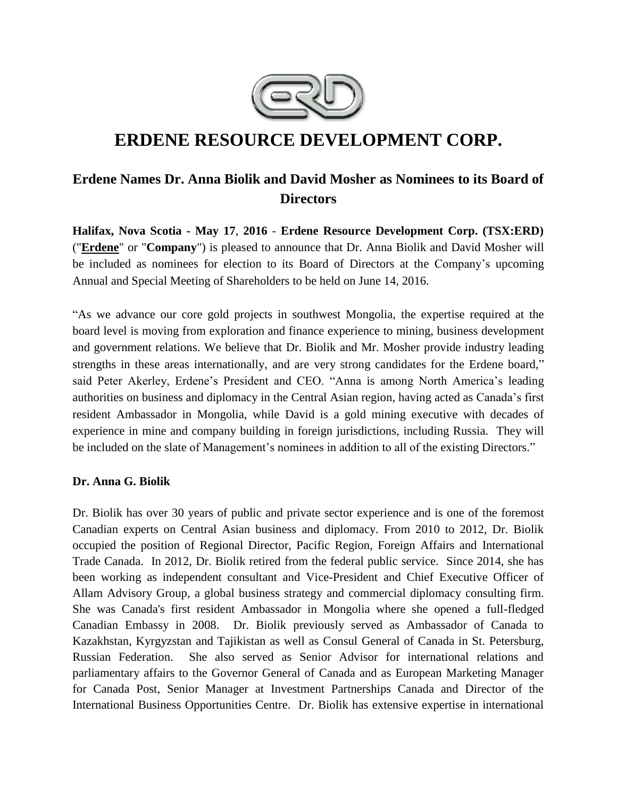

# **ERDENE RESOURCE DEVELOPMENT CORP.**

# **Erdene Names Dr. Anna Biolik and David Mosher as Nominees to its Board of Directors**

**Halifax, Nova Scotia - May 17**, **2016** - **Erdene Resource Development Corp. (TSX:ERD)**  ("**[Erdene](http://www.erdene.com/)**" or "**Company**") is pleased to announce that Dr. Anna Biolik and David Mosher will be included as nominees for election to its Board of Directors at the Company's upcoming Annual and Special Meeting of Shareholders to be held on June 14, 2016.

"As we advance our core gold projects in southwest Mongolia, the expertise required at the board level is moving from exploration and finance experience to mining, business development and government relations. We believe that Dr. Biolik and Mr. Mosher provide industry leading strengths in these areas internationally, and are very strong candidates for the Erdene board," said Peter Akerley, Erdene's President and CEO. "Anna is among North America's leading authorities on business and diplomacy in the Central Asian region, having acted as Canada's first resident Ambassador in Mongolia, while David is a gold mining executive with decades of experience in mine and company building in foreign jurisdictions, including Russia. They will be included on the slate of Management's nominees in addition to all of the existing Directors."

#### **Dr. Anna G. Biolik**

Dr. Biolik has over 30 years of public and private sector experience and is one of the foremost Canadian experts on Central Asian business and diplomacy. From 2010 to 2012, Dr. Biolik occupied the position of Regional Director, Pacific Region, Foreign Affairs and International Trade Canada. In 2012, Dr. Biolik retired from the federal public service. Since 2014, she has been working as independent consultant and Vice-President and Chief Executive Officer of Allam Advisory Group, a global business strategy and commercial diplomacy consulting firm. She was Canada's first resident Ambassador in Mongolia where she opened a full-fledged Canadian Embassy in 2008. Dr. Biolik previously served as Ambassador of Canada to Kazakhstan, Kyrgyzstan and Tajikistan as well as Consul General of Canada in St. Petersburg, Russian Federation. She also served as Senior Advisor for international relations and parliamentary affairs to the Governor General of Canada and as European Marketing Manager for Canada Post, Senior Manager at Investment Partnerships Canada and Director of the International Business Opportunities Centre. Dr. Biolik has extensive expertise in international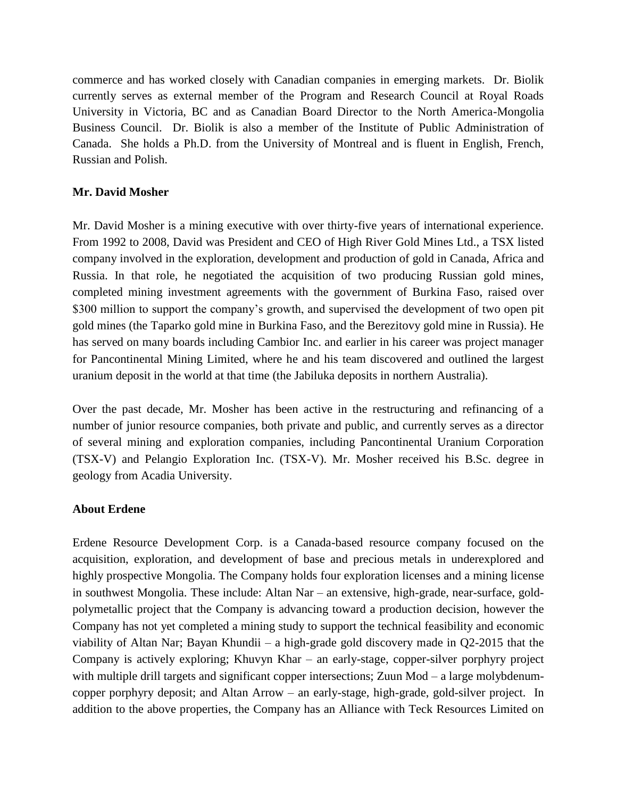commerce and has worked closely with Canadian companies in emerging markets. Dr. Biolik currently serves as external member of the Program and Research Council at Royal Roads University in Victoria, BC and as Canadian Board Director to the North America-Mongolia Business Council. Dr. Biolik is also a member of the Institute of Public Administration of Canada. She holds a Ph.D. from the University of Montreal and is fluent in English, French, Russian and Polish.

### **Mr. David Mosher**

Mr. David Mosher is a mining executive with over thirty-five years of international experience. From 1992 to 2008, David was President and CEO of High River Gold Mines Ltd., a TSX listed company involved in the exploration, development and production of gold in Canada, Africa and Russia. In that role, he negotiated the acquisition of two producing Russian gold mines, completed mining investment agreements with the government of Burkina Faso, raised over \$300 million to support the company's growth, and supervised the development of two open pit gold mines (the Taparko gold mine in Burkina Faso, and the Berezitovy gold mine in Russia). He has served on many boards including Cambior Inc. and earlier in his career was project manager for Pancontinental Mining Limited, where he and his team discovered and outlined the largest uranium deposit in the world at that time (the Jabiluka deposits in northern Australia).

Over the past decade, Mr. Mosher has been active in the restructuring and refinancing of a number of junior resource companies, both private and public, and currently serves as a director of several mining and exploration companies, including Pancontinental Uranium Corporation (TSX-V) and Pelangio Exploration Inc. (TSX-V). Mr. Mosher received his B.Sc. degree in geology from Acadia University.

#### **About Erdene**

Erdene Resource Development Corp. is a Canada-based resource company focused on the acquisition, exploration, and development of base and precious metals in underexplored and highly prospective Mongolia. The Company holds four exploration licenses and a mining license in southwest Mongolia. These include: Altan Nar – an extensive, high-grade, near-surface, goldpolymetallic project that the Company is advancing toward a production decision, however the Company has not yet completed a mining study to support the technical feasibility and economic viability of Altan Nar; Bayan Khundii – a high-grade gold discovery made in Q2-2015 that the Company is actively exploring; Khuvyn Khar – an early-stage, copper-silver porphyry project with multiple drill targets and significant copper intersections; Zuun Mod – a large molybdenumcopper porphyry deposit; and Altan Arrow – an early-stage, high-grade, gold-silver project. In addition to the above properties, the Company has an Alliance with Teck Resources Limited on